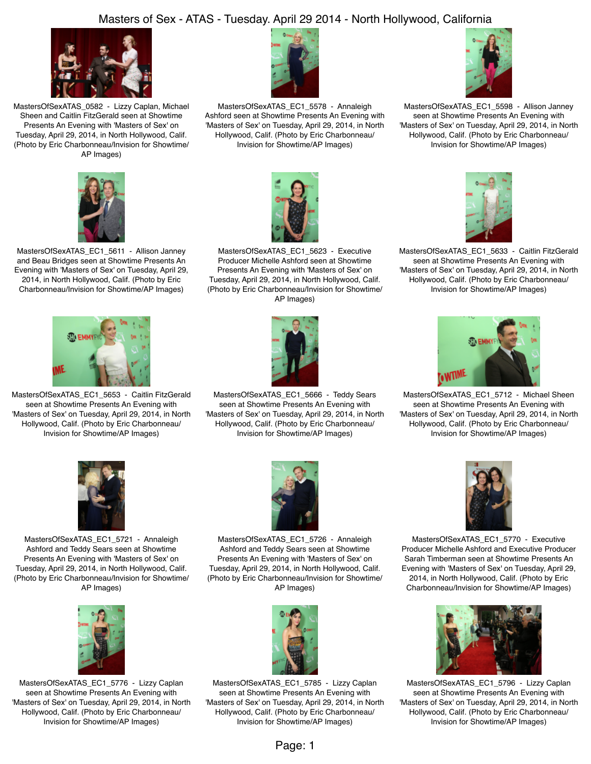## Masters of Sex - ATAS - Tuesday. April 29 2014 - North Hollywood, California



MastersOfSexATAS\_0582 - Lizzy Caplan, Michael Sheen and Caitlin FitzGerald seen at Showtime Presents An Evening with 'Masters of Sex' on Tuesday, April 29, 2014, in North Hollywood, Calif. (Photo by Eric Charbonneau/Invision for Showtime/ AP Images)



MastersOfSexATAS\_EC1\_5578 - Annaleigh Ashford seen at Showtime Presents An Evening with 'Masters of Sex' on Tuesday, April 29, 2014, in North Hollywood, Calif. (Photo by Eric Charbonneau/ Invision for Showtime/AP Images)



MastersOfSexATAS\_EC1\_5598 - Allison Janney seen at Showtime Presents An Evening with 'Masters of Sex' on Tuesday, April 29, 2014, in North Hollywood, Calif. (Photo by Eric Charbonneau/ Invision for Showtime/AP Images)



MastersOfSexATAS\_EC1\_5611 - Allison Janney and Beau Bridges seen at Showtime Presents An Evening with 'Masters of Sex' on Tuesday, April 29, 2014, in North Hollywood, Calif. (Photo by Eric Charbonneau/Invision for Showtime/AP Images)



MastersOfSexATAS\_EC1\_5623 - Executive Producer Michelle Ashford seen at Showtime Presents An Evening with 'Masters of Sex' on Tuesday, April 29, 2014, in North Hollywood, Calif. (Photo by Eric Charbonneau/Invision for Showtime/ AP Images)



MastersOfSexATAS\_EC1\_5666 - Teddy Sears seen at Showtime Presents An Evening with 'Masters of Sex' on Tuesday, April 29, 2014, in North Hollywood, Calif. (Photo by Eric Charbonneau/ Invision for Showtime/AP Images)



MastersOfSexATAS\_EC1\_5633 - Caitlin FitzGerald seen at Showtime Presents An Evening with 'Masters of Sex' on Tuesday, April 29, 2014, in North Hollywood, Calif. (Photo by Eric Charbonneau/ Invision for Showtime/AP Images)



MastersOfSexATAS\_EC1\_5712 - Michael Sheen seen at Showtime Presents An Evening with 'Masters of Sex' on Tuesday, April 29, 2014, in North Hollywood, Calif. (Photo by Eric Charbonneau/ Invision for Showtime/AP Images)



MastersOfSexATAS\_EC1\_5653 - Caitlin FitzGerald seen at Showtime Presents An Evening with 'Masters of Sex' on Tuesday, April 29, 2014, in North Hollywood, Calif. (Photo by Eric Charbonneau/ Invision for Showtime/AP Images)

MastersOfSexATAS\_EC1\_5721 - Annaleigh Ashford and Teddy Sears seen at Showtime Presents An Evening with 'Masters of Sex' on Tuesday, April 29, 2014, in North Hollywood, Calif. (Photo by Eric Charbonneau/Invision for Showtime/ AP Images)



MastersOfSexATAS\_EC1\_5776 - Lizzy Caplan seen at Showtime Presents An Evening with 'Masters of Sex' on Tuesday, April 29, 2014, in North Hollywood, Calif. (Photo by Eric Charbonneau/ Invision for Showtime/AP Images)



MastersOfSexATAS\_EC1\_5726 - Annaleigh Ashford and Teddy Sears seen at Showtime Presents An Evening with 'Masters of Sex' on Tuesday, April 29, 2014, in North Hollywood, Calif. (Photo by Eric Charbonneau/Invision for Showtime/ AP Images)



MastersOfSexATAS\_EC1\_5785 - Lizzy Caplan seen at Showtime Presents An Evening with 'Masters of Sex' on Tuesday, April 29, 2014, in North Hollywood, Calif. (Photo by Eric Charbonneau/ Invision for Showtime/AP Images)



MastersOfSexATAS\_EC1\_5770 - Executive Producer Michelle Ashford and Executive Producer Sarah Timberman seen at Showtime Presents An Evening with 'Masters of Sex' on Tuesday, April 29, 2014, in North Hollywood, Calif. (Photo by Eric Charbonneau/Invision for Showtime/AP Images)



MastersOfSexATAS\_EC1\_5796 - Lizzy Caplan seen at Showtime Presents An Evening with 'Masters of Sex' on Tuesday, April 29, 2014, in North Hollywood, Calif. (Photo by Eric Charbonneau/ Invision for Showtime/AP Images)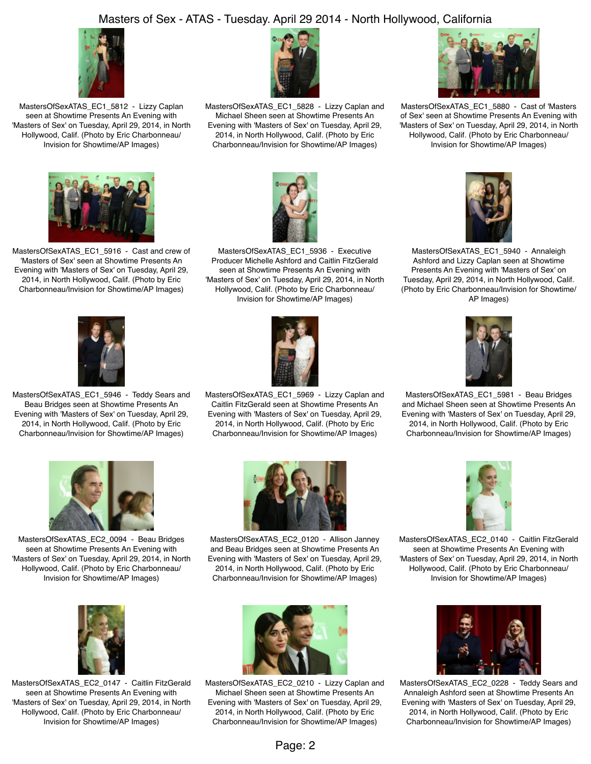## Masters of Sex - ATAS - Tuesday. April 29 2014 - North Hollywood, California



MastersOfSexATAS\_EC1\_5812 - Lizzy Caplan seen at Showtime Presents An Evening with 'Masters of Sex' on Tuesday, April 29, 2014, in North Hollywood, Calif. (Photo by Eric Charbonneau/ Invision for Showtime/AP Images)



MastersOfSexATAS\_EC1\_5828 - Lizzy Caplan and Michael Sheen seen at Showtime Presents An Evening with 'Masters of Sex' on Tuesday, April 29, 2014, in North Hollywood, Calif. (Photo by Eric Charbonneau/Invision for Showtime/AP Images)



MastersOfSexATAS\_EC1\_5880 - Cast of 'Masters of Sex' seen at Showtime Presents An Evening with 'Masters of Sex' on Tuesday, April 29, 2014, in North Hollywood, Calif. (Photo by Eric Charbonneau/ Invision for Showtime/AP Images)



MastersOfSexATAS\_EC1\_5916 - Cast and crew of 'Masters of Sex' seen at Showtime Presents An Evening with 'Masters of Sex' on Tuesday, April 29, 2014, in North Hollywood, Calif. (Photo by Eric Charbonneau/Invision for Showtime/AP Images)



MastersOfSexATAS\_EC1\_5936 - Executive Producer Michelle Ashford and Caitlin FitzGerald seen at Showtime Presents An Evening with 'Masters of Sex' on Tuesday, April 29, 2014, in North Hollywood, Calif. (Photo by Eric Charbonneau/ Invision for Showtime/AP Images)



MastersOfSexATAS\_EC1\_5940 - Annaleigh Ashford and Lizzy Caplan seen at Showtime Presents An Evening with 'Masters of Sex' on Tuesday, April 29, 2014, in North Hollywood, Calif. (Photo by Eric Charbonneau/Invision for Showtime/ AP Images)



MastersOfSexATAS\_EC1\_5946 - Teddy Sears and Beau Bridges seen at Showtime Presents An Evening with 'Masters of Sex' on Tuesday, April 29, 2014, in North Hollywood, Calif. (Photo by Eric Charbonneau/Invision for Showtime/AP Images)



MastersOfSexATAS\_EC1\_5969 - Lizzy Caplan and Caitlin FitzGerald seen at Showtime Presents An Evening with 'Masters of Sex' on Tuesday, April 29, 2014, in North Hollywood, Calif. (Photo by Eric Charbonneau/Invision for Showtime/AP Images)



MastersOfSexATAS\_EC1\_5981 - Beau Bridges and Michael Sheen seen at Showtime Presents An Evening with 'Masters of Sex' on Tuesday, April 29, 2014, in North Hollywood, Calif. (Photo by Eric Charbonneau/Invision for Showtime/AP Images)



MastersOfSexATAS\_EC2\_0094 - Beau Bridges seen at Showtime Presents An Evening with 'Masters of Sex' on Tuesday, April 29, 2014, in North Hollywood, Calif. (Photo by Eric Charbonneau/ Invision for Showtime/AP Images)



MastersOfSexATAS\_EC2\_0120 - Allison Janney and Beau Bridges seen at Showtime Presents An Evening with 'Masters of Sex' on Tuesday, April 29, 2014, in North Hollywood, Calif. (Photo by Eric Charbonneau/Invision for Showtime/AP Images)



MastersOfSexATAS\_EC2\_0140 - Caitlin FitzGerald seen at Showtime Presents An Evening with 'Masters of Sex' on Tuesday, April 29, 2014, in North Hollywood, Calif. (Photo by Eric Charbonneau/ Invision for Showtime/AP Images)



MastersOfSexATAS\_EC2\_0147 - Caitlin FitzGerald seen at Showtime Presents An Evening with 'Masters of Sex' on Tuesday, April 29, 2014, in North Hollywood, Calif. (Photo by Eric Charbonneau/ Invision for Showtime/AP Images)



MastersOfSexATAS\_EC2\_0210 - Lizzy Caplan and Michael Sheen seen at Showtime Presents An Evening with 'Masters of Sex' on Tuesday, April 29, 2014, in North Hollywood, Calif. (Photo by Eric Charbonneau/Invision for Showtime/AP Images)



MastersOfSexATAS\_EC2\_0228 - Teddy Sears and Annaleigh Ashford seen at Showtime Presents An Evening with 'Masters of Sex' on Tuesday, April 29, 2014, in North Hollywood, Calif. (Photo by Eric Charbonneau/Invision for Showtime/AP Images)